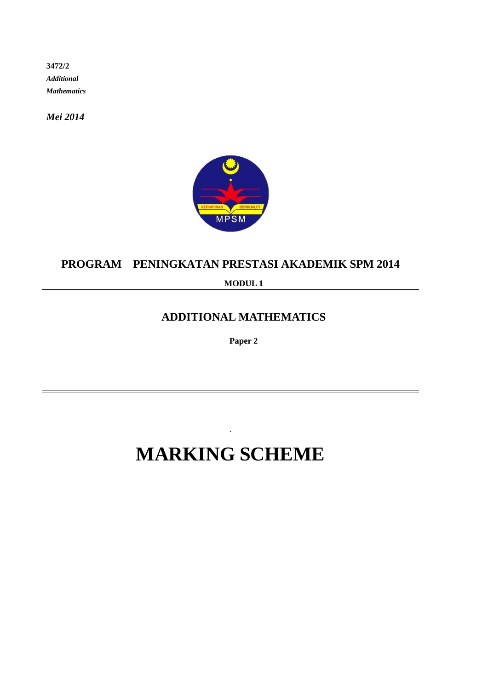**3472/2**  *Additional Mathematics*

*Mei 2014*



### **PROGRAM PENINGKATAN PRESTASI AKADEMIK SPM 2014**

**MODUL 1**

## **ADDITIONAL MATHEMATICS**

**Paper 2** 

# **MARKING SCHEME**

.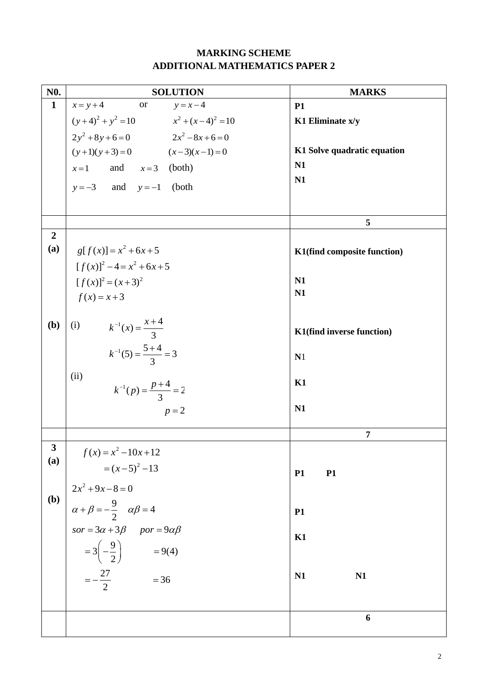### **MARKING SCHEME ADDITIONAL MATHEMATICS PAPER 2**

| N <sub>0</sub> .          | <b>SOLUTION</b>                                                                                                                                                                                                                             | <b>MARKS</b>                |
|---------------------------|---------------------------------------------------------------------------------------------------------------------------------------------------------------------------------------------------------------------------------------------|-----------------------------|
| $\mathbf{1}$              | $x = y + 4$ or $y = x - 4$                                                                                                                                                                                                                  | <b>P1</b>                   |
|                           |                                                                                                                                                                                                                                             | K1 Eliminate x/y            |
|                           | $(y+4)^2 + y^2 = 10$<br>$x^2 + (x-4)^2 = 10$<br>$2y^2 + 8y + 6 = 0$<br>$2x^2 - 8x + 6 = 0$                                                                                                                                                  |                             |
|                           | $(y+1)(y+3) = 0$ $(x-3)(x-1) = 0$                                                                                                                                                                                                           | K1 Solve quadratic equation |
|                           | $x=1$ and $x=3$ (both)                                                                                                                                                                                                                      | N1                          |
|                           | $y=-3$ and $y=-1$ (both                                                                                                                                                                                                                     | N1                          |
|                           |                                                                                                                                                                                                                                             |                             |
|                           |                                                                                                                                                                                                                                             |                             |
|                           |                                                                                                                                                                                                                                             | 5                           |
| $\overline{2}$            |                                                                                                                                                                                                                                             |                             |
| (a)                       | $g[f(x)] = x^2 + 6x + 5$                                                                                                                                                                                                                    | K1(find composite function) |
|                           | $[f(x)]^2 - 4 = x^2 + 6x + 5$                                                                                                                                                                                                               |                             |
|                           | $[f(x)]^2 = (x+3)^2$                                                                                                                                                                                                                        | N <sub>1</sub>              |
|                           | $f(x) = x + 3$                                                                                                                                                                                                                              | N1                          |
|                           |                                                                                                                                                                                                                                             |                             |
| (b)                       | (i) $k^{-1}(x) = \frac{x+4}{3}$                                                                                                                                                                                                             | K1(find inverse function)   |
|                           |                                                                                                                                                                                                                                             |                             |
|                           | $k^{-1}(5) = \frac{5+4}{3} = 3$                                                                                                                                                                                                             | N1                          |
|                           | (ii)                                                                                                                                                                                                                                        |                             |
|                           | $k^{-1}(p) = \frac{p+4}{3} = 2$                                                                                                                                                                                                             | K1                          |
|                           | $p=2$                                                                                                                                                                                                                                       | N1                          |
|                           |                                                                                                                                                                                                                                             |                             |
|                           |                                                                                                                                                                                                                                             | 7                           |
| 3                         | $f(x) = x^2 - 10x + 12$                                                                                                                                                                                                                     |                             |
| (a)                       |                                                                                                                                                                                                                                             |                             |
|                           |                                                                                                                                                                                                                                             | <b>P1</b><br><b>P1</b>      |
| $\left(\mathbf{b}\right)$ |                                                                                                                                                                                                                                             |                             |
|                           |                                                                                                                                                                                                                                             | <b>P1</b>                   |
|                           |                                                                                                                                                                                                                                             |                             |
|                           | $J(x) = x -10x+12$<br>$= (x-5)^2 -13$<br>$2x^2 +9x-8=0$<br>$\alpha + \beta = -\frac{9}{2}$ $\alpha\beta = 4$<br>$s \text{or } = 3\alpha + 3\beta$ $p \text{or } = 9\alpha\beta$<br>$= 3(-\frac{9}{2})$ $= 9(4)$<br>$= -\frac{27}{2}$ $= 36$ | K1                          |
|                           |                                                                                                                                                                                                                                             |                             |
|                           |                                                                                                                                                                                                                                             | N <sub>1</sub><br>N1        |
|                           |                                                                                                                                                                                                                                             |                             |
|                           |                                                                                                                                                                                                                                             |                             |
|                           |                                                                                                                                                                                                                                             | 6                           |
|                           |                                                                                                                                                                                                                                             |                             |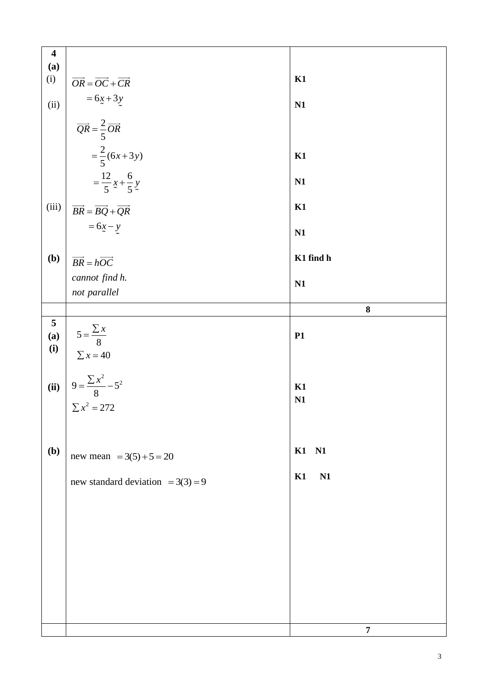| $\overline{\mathbf{4}}$     |                                                                                                   |                  |
|-----------------------------|---------------------------------------------------------------------------------------------------|------------------|
| (a)                         |                                                                                                   |                  |
| (i)                         |                                                                                                   | K1               |
|                             | $\overrightarrow{OR} = \overrightarrow{OC} + \overrightarrow{CR}$                                 |                  |
|                             | $= 6x + 3y$                                                                                       |                  |
| (ii)                        |                                                                                                   | N1               |
|                             |                                                                                                   |                  |
|                             |                                                                                                   |                  |
|                             | $\overrightarrow{QR} = \frac{2}{5} \overrightarrow{OR}$<br>= $\frac{2}{5} (6x+3y)$                |                  |
|                             |                                                                                                   |                  |
|                             |                                                                                                   | K1               |
|                             |                                                                                                   |                  |
|                             |                                                                                                   |                  |
|                             | $=\frac{12}{5}x+\frac{6}{5}y$                                                                     | N1               |
|                             |                                                                                                   |                  |
| (iii)                       |                                                                                                   | K1               |
|                             | $\overrightarrow{BR} = \overrightarrow{BQ} + \overrightarrow{QR}$                                 |                  |
|                             | $=6x-y$                                                                                           |                  |
|                             |                                                                                                   | N1               |
|                             |                                                                                                   |                  |
| (b)                         |                                                                                                   | K1 find h        |
|                             | $\overrightarrow{BR} = h\overrightarrow{OC}$                                                      |                  |
|                             | cannot find h.                                                                                    |                  |
|                             |                                                                                                   | N1               |
|                             | not parallel                                                                                      |                  |
|                             |                                                                                                   | ${\bf 8}$        |
|                             |                                                                                                   |                  |
| $\frac{5}{a}$<br>(a)<br>(i) | $5 = \frac{\sum x}{8}$<br>$\Sigma x = 40$<br>$9 = \frac{\sum x^2}{8} - 5^2$<br>$\Sigma x^2 = 272$ |                  |
|                             |                                                                                                   | P1               |
|                             |                                                                                                   |                  |
|                             |                                                                                                   |                  |
|                             |                                                                                                   |                  |
|                             |                                                                                                   |                  |
| (ii)                        |                                                                                                   | K1               |
|                             |                                                                                                   | N <sub>1</sub>   |
|                             |                                                                                                   |                  |
|                             |                                                                                                   |                  |
|                             |                                                                                                   |                  |
|                             |                                                                                                   |                  |
| (b)                         |                                                                                                   | K1 N1            |
|                             | new mean $= 3(5) + 5 = 20$                                                                        |                  |
|                             |                                                                                                   |                  |
|                             | new standard deviation = $3(3) = 9$                                                               | K1<br>N1         |
|                             |                                                                                                   |                  |
|                             |                                                                                                   |                  |
|                             |                                                                                                   |                  |
|                             |                                                                                                   |                  |
|                             |                                                                                                   |                  |
|                             |                                                                                                   |                  |
|                             |                                                                                                   |                  |
|                             |                                                                                                   |                  |
|                             |                                                                                                   |                  |
|                             |                                                                                                   |                  |
|                             |                                                                                                   |                  |
|                             |                                                                                                   |                  |
|                             |                                                                                                   |                  |
|                             |                                                                                                   |                  |
|                             |                                                                                                   | $\boldsymbol{7}$ |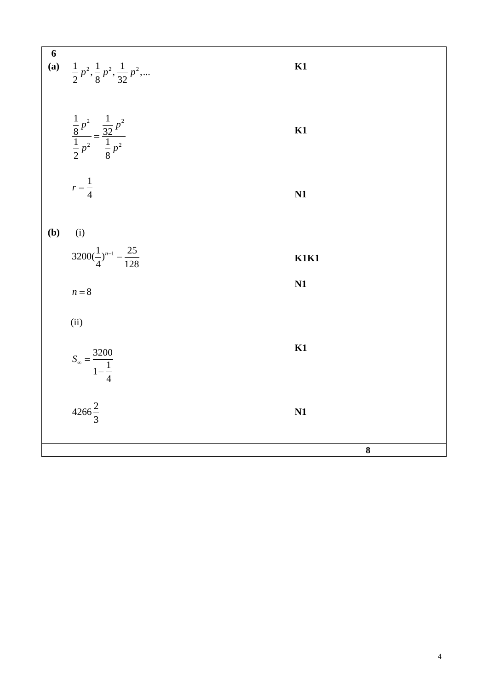| 6   | (a) $\left  \frac{1}{2} p^2, \frac{1}{8} p^2, \frac{1}{32} p^2, \dots \right $   | K1          |
|-----|----------------------------------------------------------------------------------|-------------|
|     | $\frac{\frac{1}{8}p^2}{\frac{1}{2}p^2} = \frac{\frac{1}{32}p^2}{\frac{1}{8}p^2}$ | K1          |
|     | $\int_{0}^{2\pi} r = \frac{1}{4}$                                                | N1          |
| (b) |                                                                                  |             |
|     | $\int_{0}^{1/2} \frac{1}{3200(\frac{1}{4})^{n-1}} = \frac{25}{128}$              | <b>K1K1</b> |
|     | $n = 8$                                                                          | N1          |
|     | (ii)                                                                             |             |
|     | $S_{\infty} = \frac{3200}{1 - \frac{1}{4}}$<br>4266 $\frac{2}{3}$                | K1          |
|     |                                                                                  | N1          |
|     |                                                                                  | ${\bf 8}$   |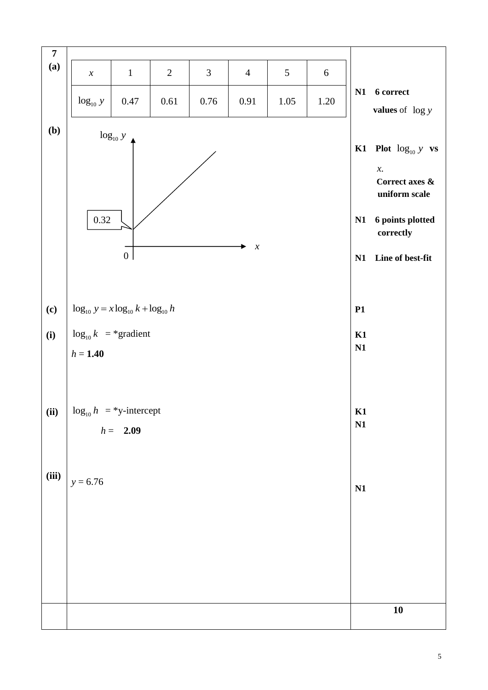| $\overline{7}$<br>(a) | $\boldsymbol{\chi}$                         | $\mathbf{1}$    | $\mathbf{2}$ | 3        | $\overline{4}$             | 5    | $\sqrt{6}$ |          |                                                                                                |
|-----------------------|---------------------------------------------|-----------------|--------------|----------|----------------------------|------|------------|----------|------------------------------------------------------------------------------------------------|
|                       | $log_{10} y$                                | $0.47\,$        | 0.61         | $0.76\,$ | $0.91\,$                   | 1.05 | 1.20       | N1       | <b>6</b> correct<br><b>values</b> of $\log y$                                                  |
| (b)                   |                                             | $\log_{10} y$   |              |          |                            |      |            |          |                                                                                                |
|                       |                                             |                 |              |          |                            |      |            |          | K1 Plot $log_{10} y$ vs<br>$\chi_{\textstyle\centerdot}$<br>Correct axes $\&$<br>uniform scale |
|                       | 0.32                                        |                 |              |          |                            |      |            | N1       | 6 points plotted<br>correctly                                                                  |
|                       |                                             | $\vert 0 \vert$ |              |          | $\boldsymbol{\mathcal{X}}$ |      |            | N1       | Line of best-fit                                                                               |
| (c)                   | $\log_{10} y = x \log_{10} k + \log_{10} h$ |                 |              |          |                            |      |            | P1       |                                                                                                |
| (i)                   | $\log_{10} k$ = *gradient                   |                 |              |          |                            |      |            | K1<br>N1 |                                                                                                |
|                       | $h = 1.40$                                  |                 |              |          |                            |      |            |          |                                                                                                |
| (ii)                  | $\log_{10} h$ = *y-intercept                | $h = 2.09$      |              |          |                            |      |            | K1<br>N1 |                                                                                                |
| (iii)                 |                                             |                 |              |          |                            |      |            |          |                                                                                                |
|                       | $y = 6.76$                                  |                 |              |          |                            |      |            | N1       |                                                                                                |
|                       |                                             |                 |              |          |                            |      |            |          |                                                                                                |
|                       |                                             |                 |              |          |                            |      |            |          |                                                                                                |
|                       |                                             |                 |              |          |                            |      |            |          | 10                                                                                             |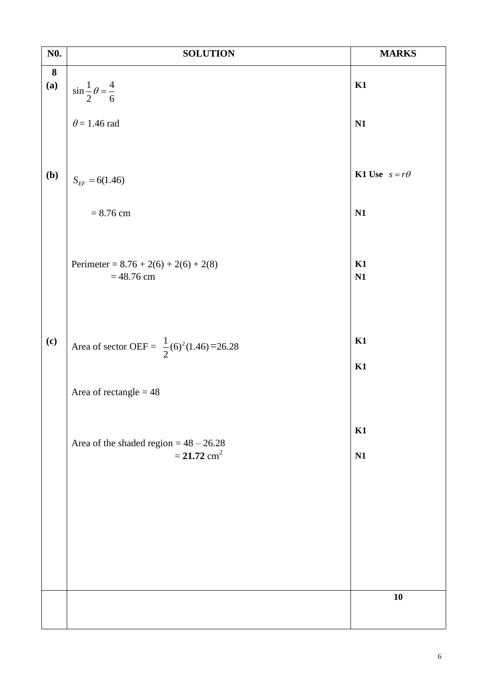| N <sub>0</sub> .        | <b>SOLUTION</b>                                                       | <b>MARKS</b>                |
|-------------------------|-----------------------------------------------------------------------|-----------------------------|
| $\boldsymbol{8}$<br>(a) | $\sin \frac{1}{2} \theta = \frac{4}{6}$                               | K1                          |
|                         | $\theta$ = 1.46 rad                                                   | N1                          |
| (b)                     | $S_{EF} = 6(1.46)$                                                    | <b>K1 Use</b> $s = r\theta$ |
|                         | $= 8.76$ cm                                                           | N1                          |
|                         | Perimeter = $8.76 + 2(6) + 2(6) + 2(8)$<br>$= 48.76$ cm               | K1<br>N1                    |
| (c)                     | Area of sector OEF = $\frac{1}{2}$ (6) <sup>2</sup> (1.46)=26.28      | K1<br>K1                    |
|                         | Area of rectangle $= 48$                                              |                             |
|                         | Area of the shaded region = $48 - 26.28$<br>$= 21.72$ cm <sup>2</sup> | K1<br>N1                    |
|                         |                                                                       |                             |
|                         |                                                                       |                             |
|                         |                                                                       | 10                          |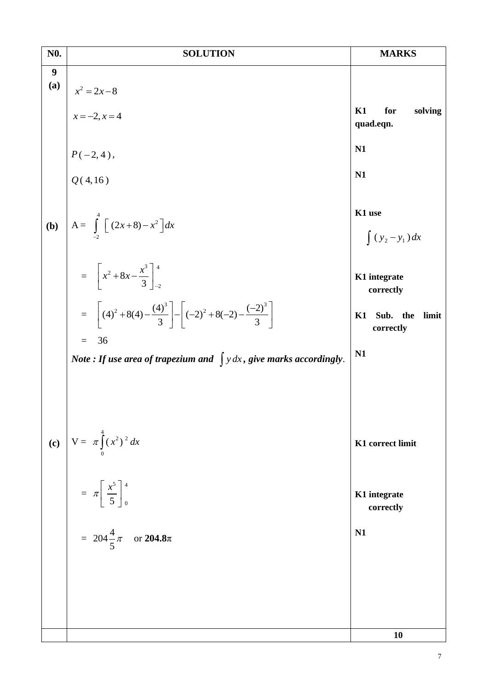| N <sub>0</sub> . | <b>SOLUTION</b>                                                                                      | <b>MARKS</b>                         |
|------------------|------------------------------------------------------------------------------------------------------|--------------------------------------|
| 9<br>(a)         |                                                                                                      |                                      |
|                  | $x^2 = 2x-8$<br>$x = -2, x = 4$                                                                      | K1<br>for<br>solving<br>quad.eqn.    |
|                  | $P(-2, 4),$<br>Q(4,16)                                                                               | N1                                   |
|                  |                                                                                                      | N1                                   |
| (b)              | A= $\int_{-2}^{4} [(2x+8)-x^2] dx$                                                                   | K1 use<br>$\int (y_2 - y_1) dx$      |
|                  | $=\left[x^2+8x-\frac{x^3}{3}\right]_{-2}^{4}$                                                        | K1 integrate<br>correctly            |
|                  | = $\left[ (4)^2 + 8(4) - \frac{(4)^3}{3} \right] - \left[ (-2)^2 + 8(-2) - \frac{(-2)^3}{3} \right]$ | Sub. the<br>K1<br>limit<br>correctly |
|                  | 36<br>$=$<br>Note : If use area of trapezium and $\int y dx$ , give marks accordingly.               | N1                                   |
|                  |                                                                                                      |                                      |
| (c)              | $V = \pi \int_{0}^{4} (x^2)^2 dx$                                                                    | K1 correct limit                     |
|                  | $= \pi \left[ \frac{x^5}{5} \right]_0^4$                                                             | K1 integrate<br>correctly            |
|                  | = $204\frac{4}{5}\pi$ or <b>204.8</b> $\pi$                                                          | N1                                   |
|                  |                                                                                                      |                                      |
|                  |                                                                                                      |                                      |
|                  |                                                                                                      | 10                                   |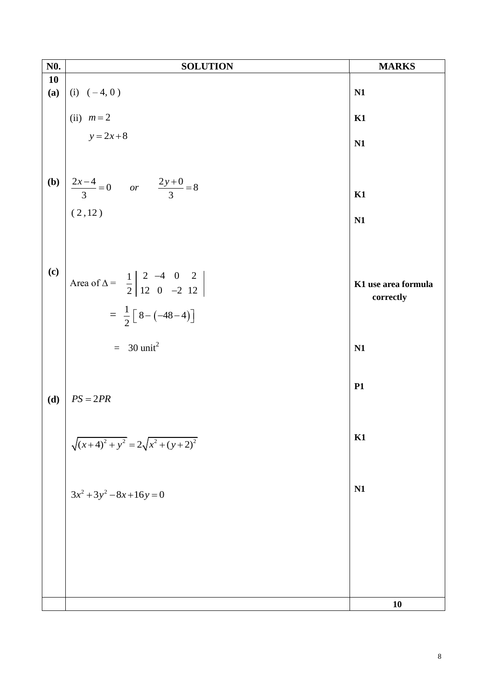| N <sub>0</sub> . | <b>SOLUTION</b>                                                                               | <b>MARKS</b>        |
|------------------|-----------------------------------------------------------------------------------------------|---------------------|
| 10               |                                                                                               |                     |
| (a)              |                                                                                               | N <sub>1</sub>      |
|                  | (i) $(-4, 0)$<br>(ii) $m=2$<br>$y=2x+8$                                                       | K1                  |
|                  |                                                                                               | N1                  |
|                  |                                                                                               |                     |
|                  |                                                                                               |                     |
|                  | <b>(b)</b> $\begin{vmatrix} 2x-4 \\ 3 \end{vmatrix} = 0$ or $\frac{2y+0}{3} = 8$<br>(2,12)    | K1                  |
|                  |                                                                                               | N1                  |
|                  |                                                                                               |                     |
| (c)              |                                                                                               |                     |
|                  | Area of $\Delta = \begin{array}{c cc} 1 & 2 & -4 & 0 & 2 \\ 2 & 12 & 0 & -2 & 12 \end{array}$ | K1 use area formula |
|                  | = $\frac{1}{2}$ $\left[ 8 - (-48 - 4) \right]$                                                | correctly           |
|                  |                                                                                               |                     |
|                  | $=$ 30 unit <sup>2</sup>                                                                      | N1                  |
|                  |                                                                                               |                     |
| (d)              | $PS = 2PR$                                                                                    | <b>P1</b>           |
|                  |                                                                                               |                     |
|                  |                                                                                               | K1                  |
|                  | $\sqrt{(x+4)^2 + y^2} = 2\sqrt{x^2 + (y+2)^2}$                                                |                     |
|                  |                                                                                               |                     |
|                  | $3x^2 + 3y^2 - 8x + 16y = 0$                                                                  | N1                  |
|                  |                                                                                               |                     |
|                  |                                                                                               |                     |
|                  |                                                                                               |                     |
|                  |                                                                                               |                     |
|                  |                                                                                               | 10                  |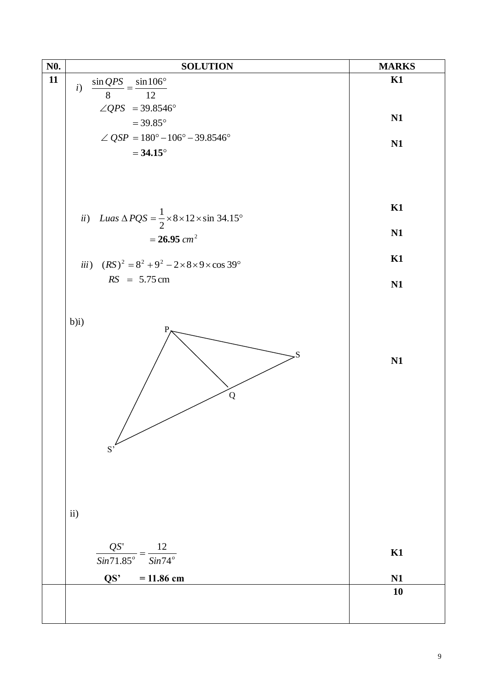| N <sub>0</sub> . | <b>SOLUTION</b>                                                                     | <b>MARKS</b> |
|------------------|-------------------------------------------------------------------------------------|--------------|
| 11               | i)                                                                                  | K1           |
|                  | $\frac{\sin QPS}{8} = \frac{\sin 106^{\circ}}{12}$                                  |              |
|                  | $\angle QPS = 39.8546^\circ$                                                        |              |
|                  | $= 39.85^{\circ}$                                                                   | N1           |
|                  | $\angle QSP = 180^{\circ} - 106^{\circ} - 39.8546^{\circ}$                          |              |
|                  | $= 34.15^{\circ}$                                                                   | N1           |
|                  |                                                                                     |              |
|                  |                                                                                     |              |
|                  |                                                                                     |              |
|                  |                                                                                     | K1           |
|                  | ii) Luas $\triangle PQS = \frac{1}{2} \times 8 \times 12 \times \sin 34.15^{\circ}$ |              |
|                  | $= 26.95$ cm <sup>2</sup>                                                           | N1           |
|                  |                                                                                     |              |
|                  | iii) $(RS)^2 = 8^2 + 9^2 - 2 \times 8 \times 9 \times \cos 39^\circ$                | K1           |
|                  | $RS = 5.75$ cm                                                                      | N1           |
|                  |                                                                                     |              |
|                  |                                                                                     |              |
|                  | $b)$ i)<br>S<br>$\bf Q$<br>$S^{\prime}$                                             | N1           |
|                  | ii)                                                                                 |              |
|                  |                                                                                     |              |
|                  | $\frac{QS'}{Sin71.85^o} = \frac{12}{Sin74^o}$                                       | K1           |
|                  |                                                                                     |              |
|                  | QS'<br>$= 11.86$ cm                                                                 | N1           |
|                  |                                                                                     | 10           |
|                  |                                                                                     |              |
|                  |                                                                                     |              |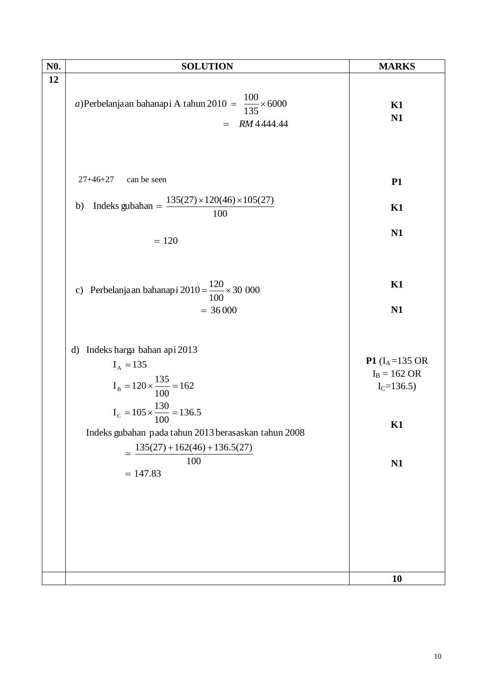| N <sub>0</sub> . | <b>SOLUTION</b>                                                                                                                                                                                                                                            | <b>MARKS</b>                                                                      |
|------------------|------------------------------------------------------------------------------------------------------------------------------------------------------------------------------------------------------------------------------------------------------------|-----------------------------------------------------------------------------------|
| 12               | a)Perbelanjaan bahanapi A tahun 2010 = $\frac{100}{135} \times 6000$<br>RM 4444.44<br>$=$                                                                                                                                                                  | K1<br>N1                                                                          |
|                  | can be seen<br>$27+46+27$<br>Indeks gubahan = $\frac{135(27) \times 120(46) \times 105(27)}{100}$<br>b)<br>$= 120$                                                                                                                                         | <b>P1</b><br>K1<br>N1                                                             |
|                  | c) Perbelanjaan bahanapi 2010 = $\frac{120}{100} \times 30000$<br>$= 36000$                                                                                                                                                                                | K1<br>N1                                                                          |
|                  | Indeks harga bahan api 2013<br>d)<br>$I_A = 135$<br>$I_B = 120 \times \frac{135}{100} = 162$<br>$I_c = 105 \times \frac{130}{100} = 136.5$<br>Indeks gubahan pada tahun 2013 berasaskan tahun 2008<br>$135(27) + 162(46) + 136.5(27)$<br>100<br>$= 147.83$ | <b>P1</b> ( $I_A = 135$ OR<br>$I_B = 162 \text{ OR}$<br>$I_C = 136.5$<br>K1<br>N1 |
|                  |                                                                                                                                                                                                                                                            | 10                                                                                |